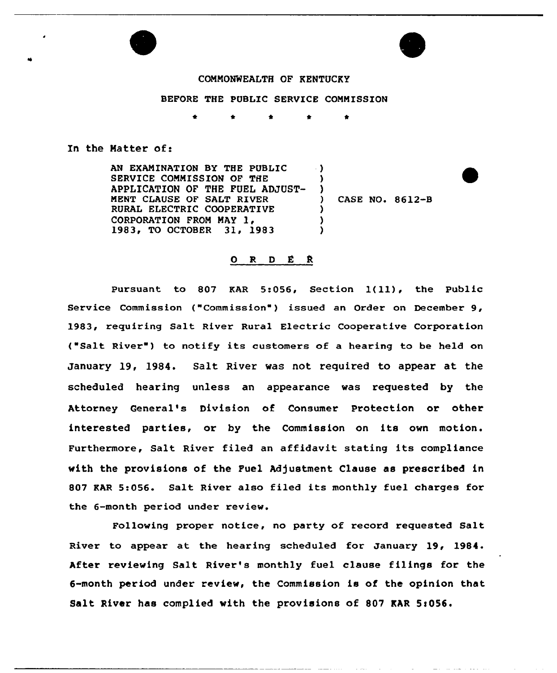

## COMMONWEALTH OF KENTUCKY

## BEFORE THE PUBLIC SERVICE COMMISSION

\* \* \* \*

## In the Matter of:

AN EXAMINATION BY THE PUBLIC SERVICE COMMISSION OF THE APPLICATION OF THE FUEL ADJUST-MENT CLAUSE OF SALT RIVER RURAL ELECTRIC COOPERATIVE CORPORATION FROM MAY 1, 1983, TO OCTOBER 31, 1983  $\rightarrow$ ) )  $\left\{ \begin{array}{c} 1 \\ 2 \end{array} \right\}$ ) CASE NO. 8612-B  $\mathbf{r}$ )  $\lambda$ 

## ORDER

Pursuant to <sup>807</sup> KAR 5:056, Section 1(ll), the Public Service Commission ("Commission" ) issued an Order on December 9, 1983, requiring Salt River Rural Electric Cooperative Corporation ("Salt River") to notify its customers of a hearing to be held on January 19, 1984. Salt River was not required to appear at the scheduled hearing unless an appearance was requested by the Attorney General's Division of Consumer Protection or other interested parties, or by the Commission on its own motion. Furthermore, Salt River filed an affidavit stating its compliance with the provisions of the Fuel Adjustment Clause as prescribed in 807 KAR 5:056. Salt River also filed its monthly fuel charges for the 6-month period under review.

Following proper notice, no party of record requested Salt River to appear at the hearing scheduled for January 19, 1984 After reviewing Salt River's monthly fuel clause filings for the 6-month period under review, the Commission is of the opinion that Salt River has complied with the provisions of 807 KAR 5:056.